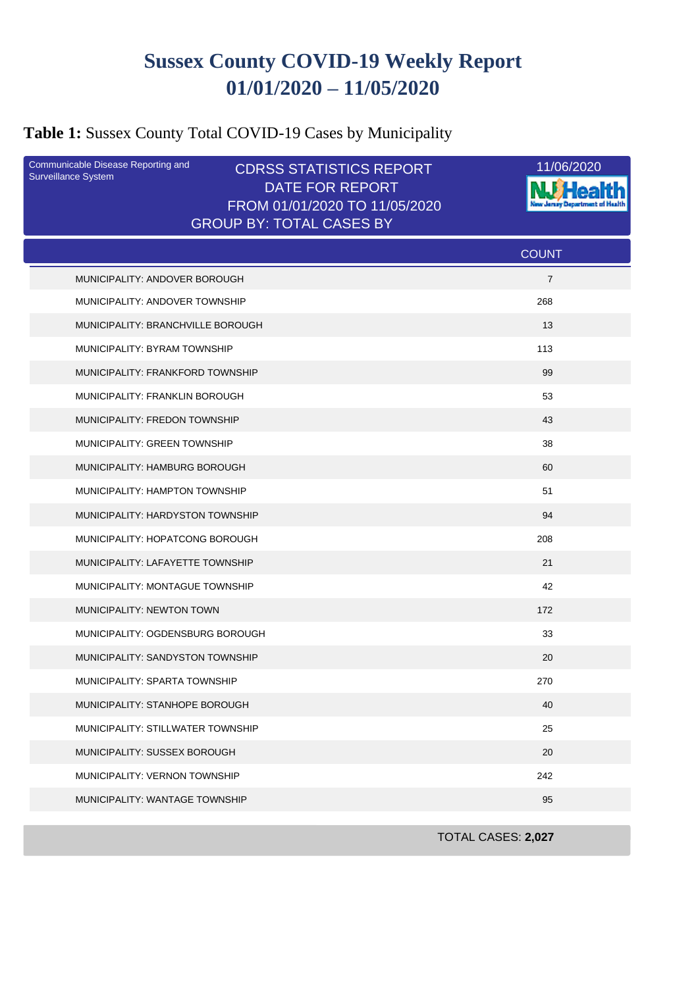# **Sussex County COVID-19 Weekly Report 01/01/2020 – 11/05/2020**

## **Table 1:** Sussex County Total COVID-19 Cases by Municipality

| Communicable Disease Reporting and<br>Surveillance System | <b>CDRSS STATISTICS REPORT</b><br><b>DATE FOR REPORT</b><br>FROM 01/01/2020 TO 11/05/2020 | 11/06/2020     |
|-----------------------------------------------------------|-------------------------------------------------------------------------------------------|----------------|
|                                                           | <b>GROUP BY: TOTAL CASES BY</b>                                                           |                |
|                                                           |                                                                                           | <b>COUNT</b>   |
| MUNICIPALITY: ANDOVER BOROUGH                             |                                                                                           | $\overline{7}$ |
| MUNICIPALITY: ANDOVER TOWNSHIP                            |                                                                                           | 268            |
| MUNICIPALITY: BRANCHVILLE BOROUGH                         |                                                                                           | 13             |
| MUNICIPALITY: BYRAM TOWNSHIP                              |                                                                                           | 113            |
| MUNICIPALITY: FRANKFORD TOWNSHIP                          |                                                                                           | 99             |
| MUNICIPALITY: FRANKLIN BOROUGH                            |                                                                                           | 53             |
| MUNICIPALITY: FREDON TOWNSHIP                             |                                                                                           | 43             |
| MUNICIPALITY: GREEN TOWNSHIP                              |                                                                                           | 38             |
| MUNICIPALITY: HAMBURG BOROUGH                             |                                                                                           | 60             |
| MUNICIPALITY: HAMPTON TOWNSHIP                            |                                                                                           | 51             |
| MUNICIPALITY: HARDYSTON TOWNSHIP                          |                                                                                           | 94             |
| MUNICIPALITY: HOPATCONG BOROUGH                           |                                                                                           | 208            |
| MUNICIPALITY: LAFAYETTE TOWNSHIP                          |                                                                                           | 21             |
| MUNICIPALITY: MONTAGUE TOWNSHIP                           |                                                                                           | 42             |
| MUNICIPALITY: NEWTON TOWN                                 |                                                                                           | 172            |
| MUNICIPALITY: OGDENSBURG BOROUGH                          |                                                                                           | 33             |
| MUNICIPALITY: SANDYSTON TOWNSHIP                          |                                                                                           | 20             |
| MUNICIPALITY: SPARTA TOWNSHIP                             |                                                                                           | 270            |
| MUNICIPALITY: STANHOPE BOROUGH                            |                                                                                           | 40             |
| MUNICIPALITY: STILLWATER TOWNSHIP                         |                                                                                           | 25             |
| MUNICIPALITY: SUSSEX BOROUGH                              |                                                                                           | 20             |
| MUNICIPALITY: VERNON TOWNSHIP                             |                                                                                           | 242            |
| MUNICIPALITY: WANTAGE TOWNSHIP                            |                                                                                           | 95             |

TOTAL CASES: **2,027**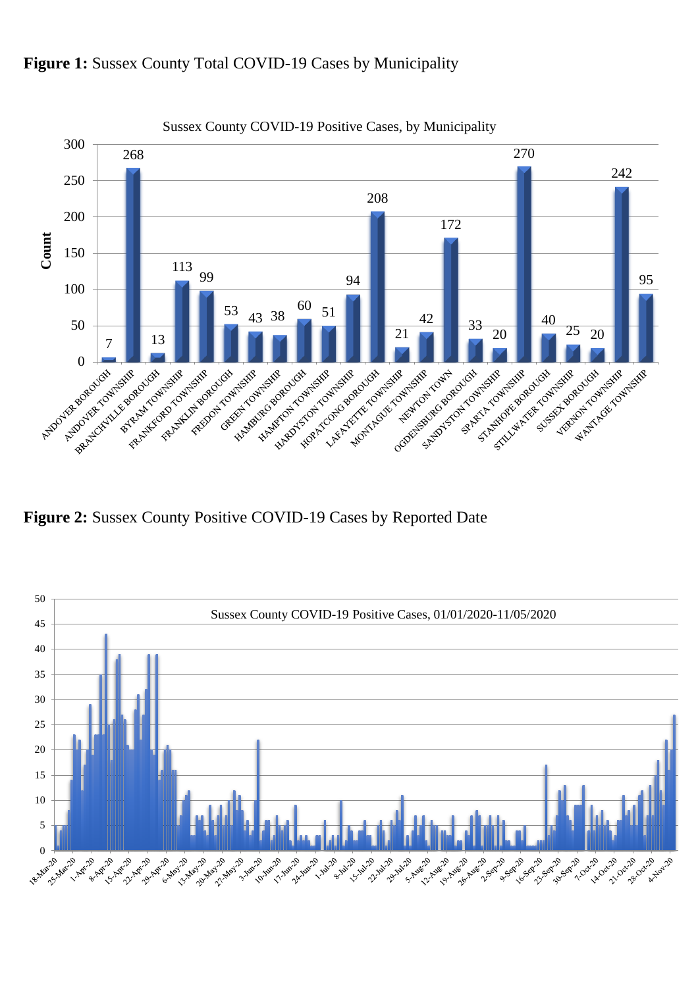

#### Figure 1: Sussex County Total COVID-19 Cases by Municipality

**Figure 2:** Sussex County Positive COVID-19 Cases by Reported Date

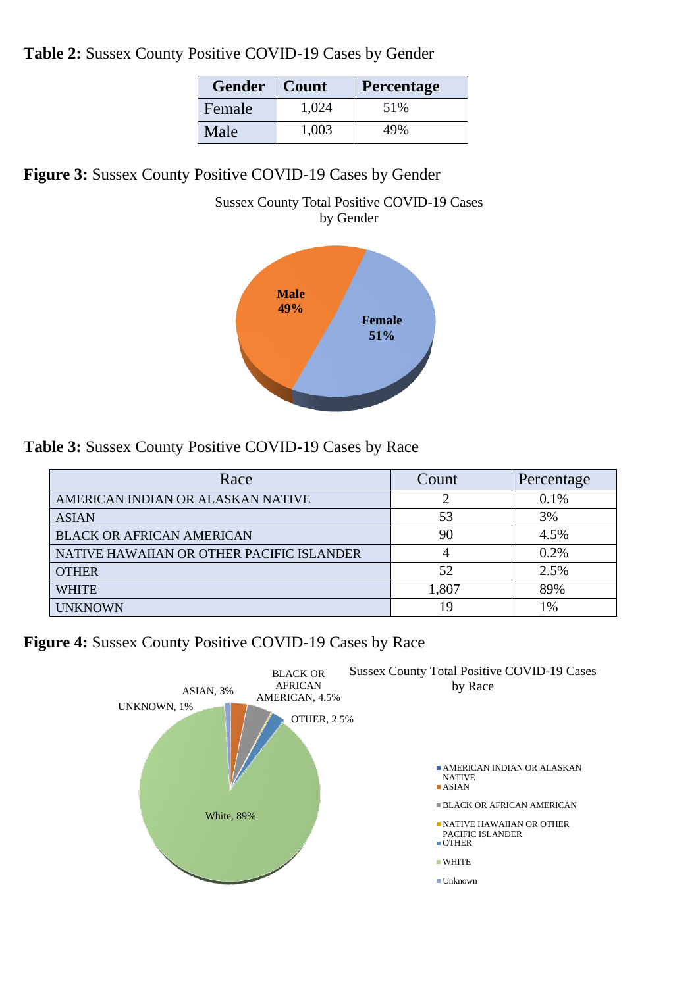**Table 2:** Sussex County Positive COVID-19 Cases by Gender

| <b>Gender</b> | Count | <b>Percentage</b> |
|---------------|-------|-------------------|
| Female        | 1,024 | 51%               |
| Male          | 1,003 | 49%               |

**Figure 3:** Sussex County Positive COVID-19 Cases by Gender





**Table 3:** Sussex County Positive COVID-19 Cases by Race

| Race                                      | Count | Percentage |
|-------------------------------------------|-------|------------|
| AMERICAN INDIAN OR ALASKAN NATIVE         |       | $0.1\%$    |
| <b>ASIAN</b>                              | 53    | 3%         |
| <b>BLACK OR AFRICAN AMERICAN</b>          | 90    | 4.5%       |
| NATIVE HAWAIIAN OR OTHER PACIFIC ISLANDER |       | 0.2%       |
| <b>OTHER</b>                              | 52    | 2.5%       |
| WHITE                                     | 1,807 | 89%        |
| <b>UNKNOWN</b>                            | 19    | 1%         |

**Figure 4:** Sussex County Positive COVID-19 Cases by Race

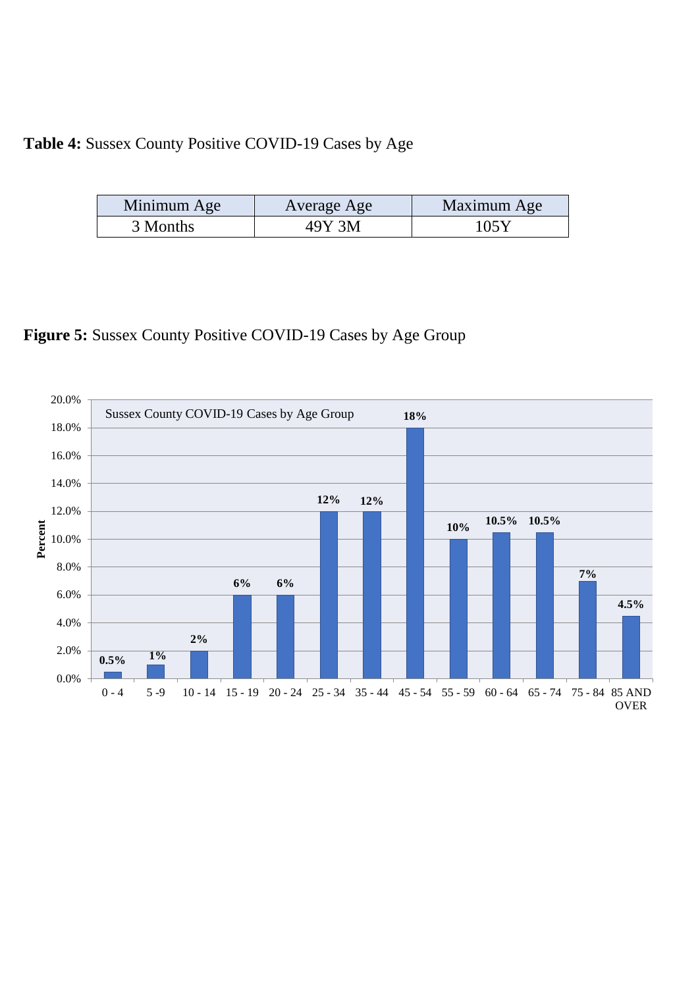## **Table 4:** Sussex County Positive COVID-19 Cases by Age

| Minimum Age | Average Age | Maximum Age |
|-------------|-------------|-------------|
| 3 Months    | 49Y 3M      | 105Y        |

## **Figure 5:** Sussex County Positive COVID-19 Cases by Age Group

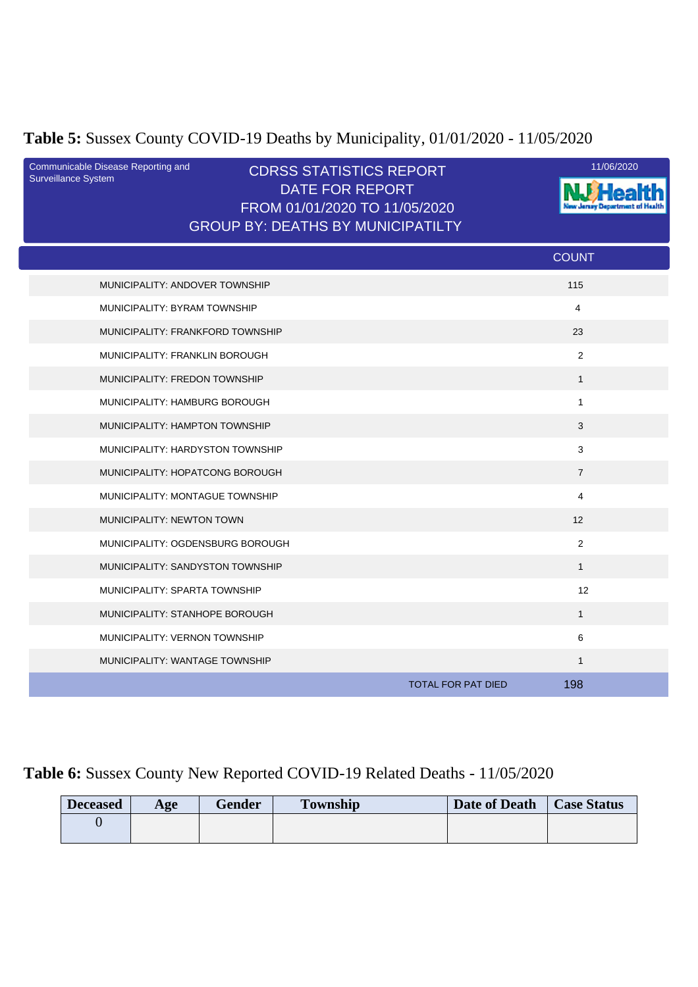# **Table 5:** Sussex County COVID-19 Deaths by Municipality, 01/01/2020 - 11/05/2020

| Communicable Disease Reporting and<br><b>Surveillance System</b> | <b>CDRSS STATISTICS REPORT</b><br>DATE FOR REPORT<br>FROM 01/01/2020 TO 11/05/2020<br><b>GROUP BY: DEATHS BY MUNICIPATILTY</b> |                                  | 11/06/2020 |
|------------------------------------------------------------------|--------------------------------------------------------------------------------------------------------------------------------|----------------------------------|------------|
|                                                                  |                                                                                                                                | <b>COUNT</b>                     |            |
| MUNICIPALITY: ANDOVER TOWNSHIP                                   |                                                                                                                                | 115                              |            |
| MUNICIPALITY: BYRAM TOWNSHIP                                     |                                                                                                                                | 4                                |            |
| MUNICIPALITY: FRANKFORD TOWNSHIP                                 |                                                                                                                                | 23                               |            |
| MUNICIPALITY: FRANKLIN BOROUGH                                   |                                                                                                                                | $\overline{2}$                   |            |
| MUNICIPALITY: FREDON TOWNSHIP                                    |                                                                                                                                | $\mathbf{1}$                     |            |
| MUNICIPALITY: HAMBURG BOROUGH                                    |                                                                                                                                | $\mathbf{1}$                     |            |
| MUNICIPALITY: HAMPTON TOWNSHIP                                   |                                                                                                                                | 3                                |            |
| MUNICIPALITY: HARDYSTON TOWNSHIP                                 |                                                                                                                                | $\mathbf{3}$                     |            |
| MUNICIPALITY: HOPATCONG BOROUGH                                  |                                                                                                                                | $\overline{7}$                   |            |
| MUNICIPALITY: MONTAGUE TOWNSHIP                                  |                                                                                                                                | 4                                |            |
| MUNICIPALITY: NEWTON TOWN                                        |                                                                                                                                | 12                               |            |
| MUNICIPALITY: OGDENSBURG BOROUGH                                 |                                                                                                                                | 2                                |            |
| MUNICIPALITY: SANDYSTON TOWNSHIP                                 |                                                                                                                                | $\mathbf{1}$                     |            |
| MUNICIPALITY: SPARTA TOWNSHIP                                    |                                                                                                                                | 12                               |            |
| MUNICIPALITY: STANHOPE BOROUGH                                   |                                                                                                                                | $\mathbf{1}$                     |            |
| MUNICIPALITY: VERNON TOWNSHIP                                    |                                                                                                                                | $\,6\,$                          |            |
| MUNICIPALITY: WANTAGE TOWNSHIP                                   |                                                                                                                                | $\mathbf{1}$                     |            |
|                                                                  |                                                                                                                                | 198<br><b>TOTAL FOR PAT DIED</b> |            |

## **Table 6:** Sussex County New Reported COVID-19 Related Deaths - 11/05/2020

| <b>Deceased</b> | Age | <b>Gender</b> | <b>Township</b> | Date of Death | <b>Case Status</b> |
|-----------------|-----|---------------|-----------------|---------------|--------------------|
|                 |     |               |                 |               |                    |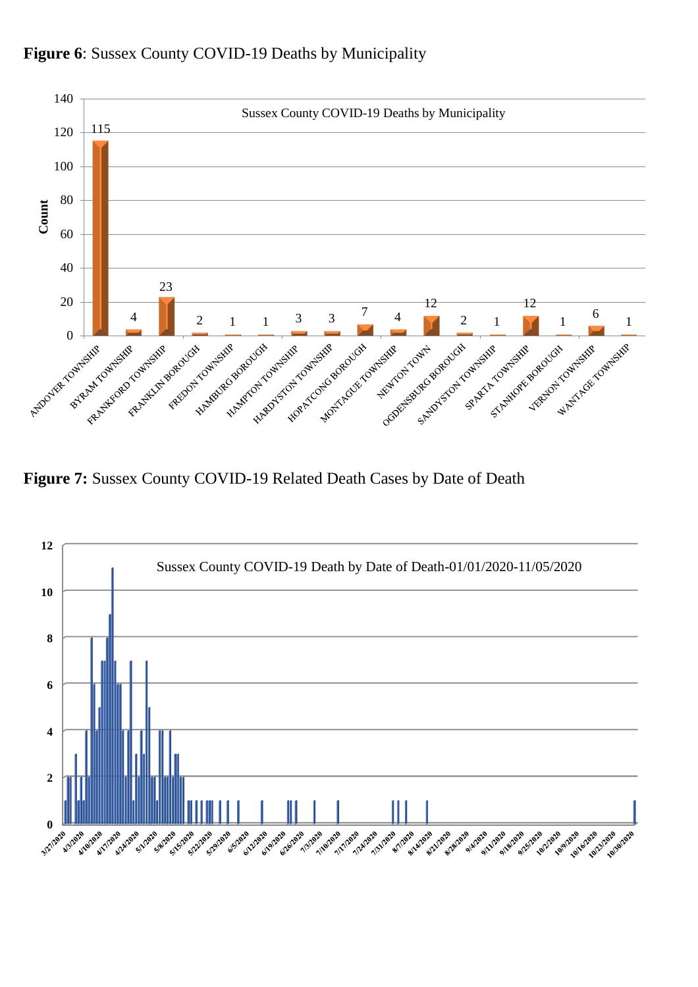

**Figure 6**: Sussex County COVID-19 Deaths by Municipality

**Figure 7:** Sussex County COVID-19 Related Death Cases by Date of Death

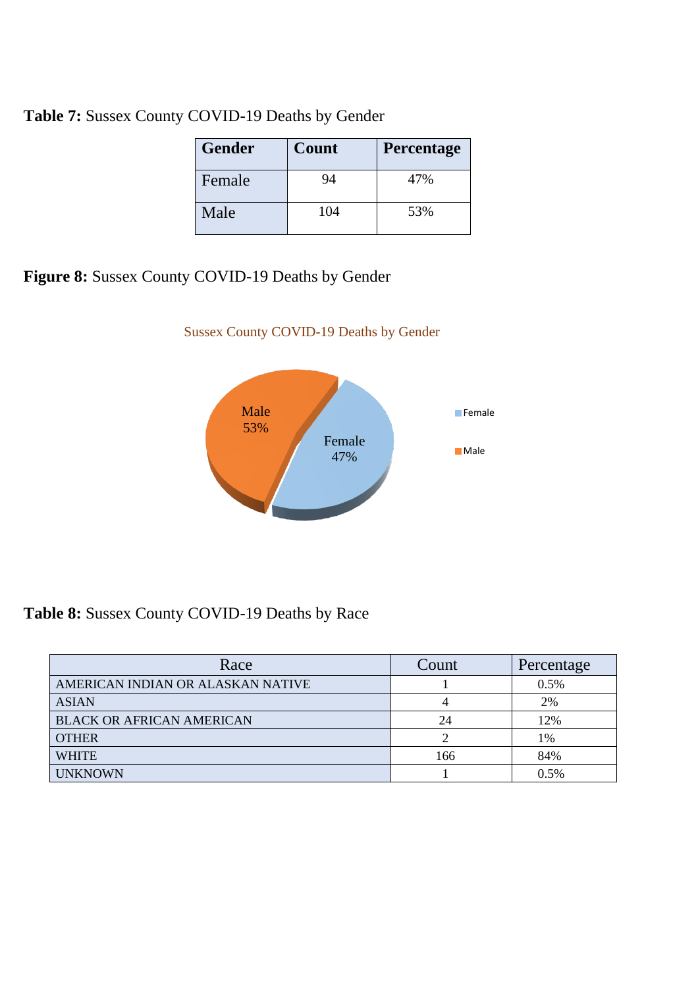**Table 7:** Sussex County COVID-19 Deaths by Gender

| <b>Gender</b> | Count | <b>Percentage</b> |
|---------------|-------|-------------------|
| Female        | 94    | 47%               |
| Male          | 104   | 53%               |

Sussex County COVID-19 Deaths by Gender

**Figure 8:** Sussex County COVID-19 Deaths by Gender



**Table 8:** Sussex County COVID-19 Deaths by Race

| Race                              | Count | Percentage |
|-----------------------------------|-------|------------|
| AMERICAN INDIAN OR ALASKAN NATIVE |       | 0.5%       |
| <b>ASIAN</b>                      |       | 2%         |
| <b>BLACK OR AFRICAN AMERICAN</b>  | 24    | 12%        |
| <b>OTHER</b>                      |       | 1%         |
| <b>WHITE</b>                      | 166   | 84%        |
| <b>UNKNOWN</b>                    |       | 0.5%       |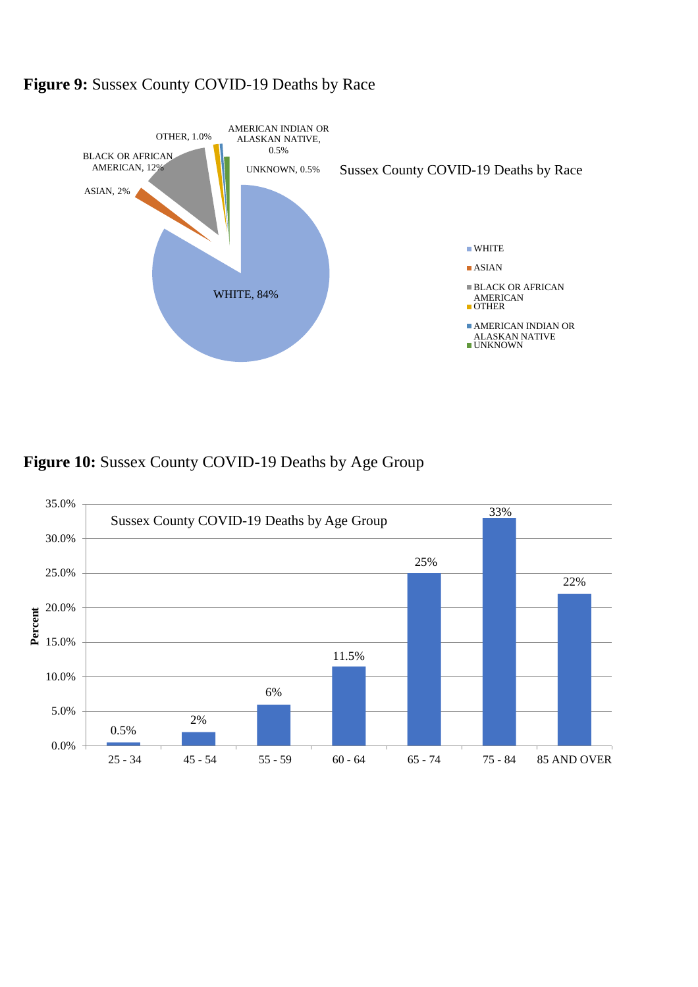

#### **Figure 9:** Sussex County COVID-19 Deaths by Race



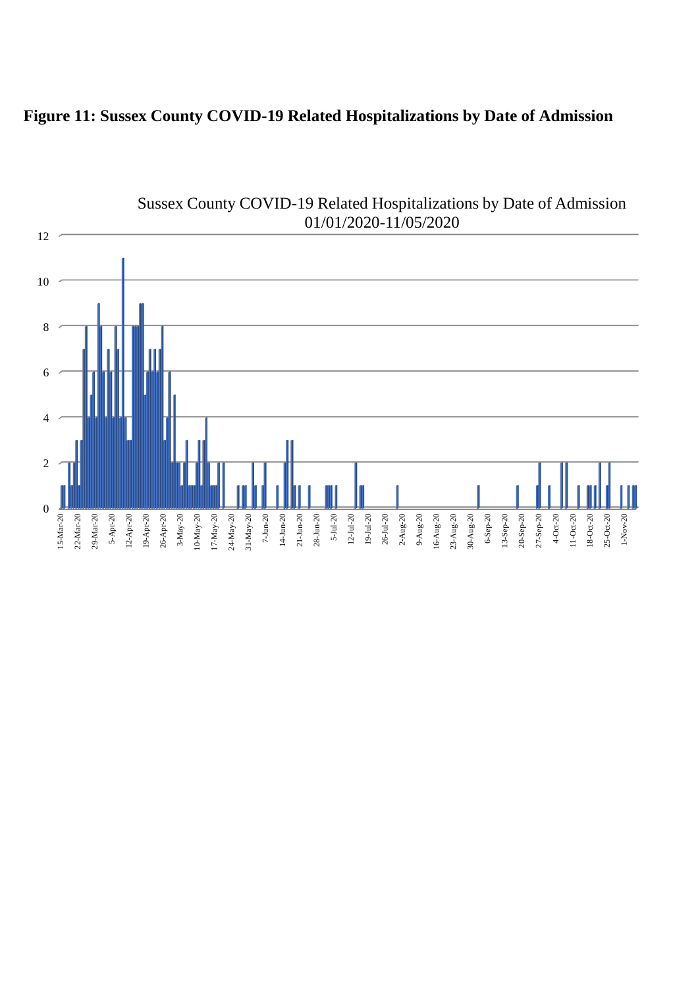## **Figure 11: Sussex County COVID-19 Related Hospitalizations by Date of Admission**